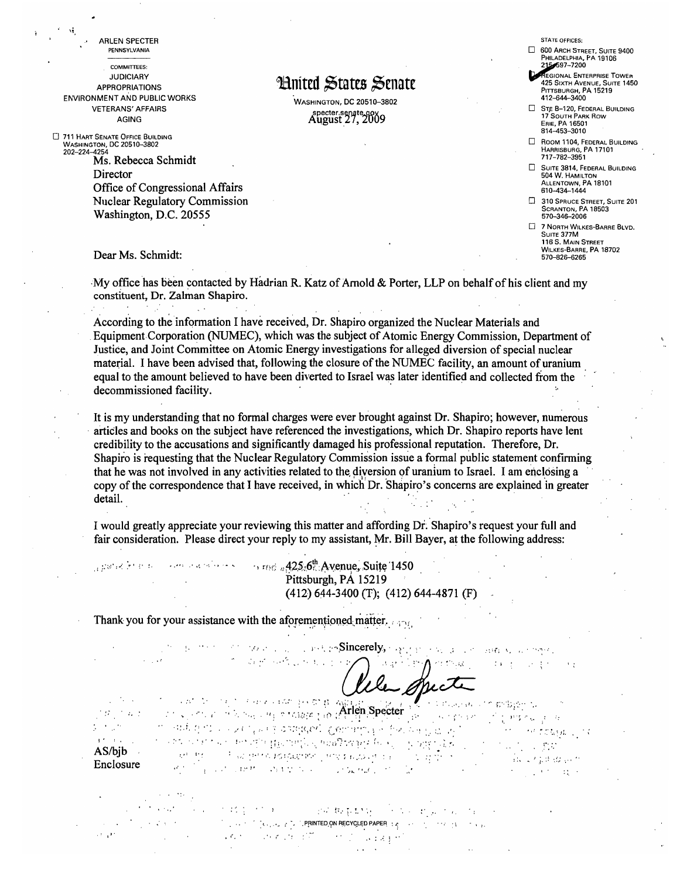PENNSYLVANIA **COMMITTEES: JUDICIARY APPROPRIATIONS ENVIRONMENT AND PUBLIC WORKS VETERANS' AFFAIRS AGING** 

ARLEN SPECTER

711 HART SENATE OFFICE BUILDING WASHINGTON, DC 20510-3802  $202 - 224 - 4254$ 

Ŵ

Ms. Rebecca Schmidt Director Office of Congressional Affairs **Nuclear Regulatory Commission** Washington, D.C. 20555

### Dear Ms. Schmidt:

spared in eller

 $\mathcal{O}(\mathcal{O}_\mathcal{O})$  . The  $\mathcal{O}(\mathcal{O}_\mathcal{O})$ 

 $\sim 100$ 

 $\mathcal{L}(\mathbf{x})$  , we have a set of  $\mathcal{L}(\mathbf{x})$ 

Hnited States Senate

.<br>WASHINGTON, DC 20510-3802 specter.senate.govg

**STATE OFFICES:** 

#### 600 ARCH STREET, SUITE 9400 PHILADELPHIA, PA 19106 597-7200

**EGIONAL ENTERPRISE TOWER** 425 SIXTH AVENUE, SUITE 1450 PITTSBURGH, PA 15219

 $\Box$  STE B-120, FEDERAL BUILDING 17 SOUTH PARK ROW ERIE, PA 16501 814-453-3010

ROOM 1104, FEDERAL BUILDING HARRISBURG, PA 17101 717-782-3951

SUITE 3814, FEDERAL BUILDING **504 W. HAMILTON<br>ALLENTOWN, PA 18101** 610-434-1444

310 SPRUCE STREET, SUITE 201 **SCRANTON, PA 18503**<br>570-346-2006

7 NORTH WILKES-BARRE BLVD. SUITE 377M 116 S. MAIN STREET WILKES-BARRE, PA 18702 570-826-6265

My office has been contacted by Hadrian R. Katz of Arnold & Porter, LLP on behalf of his client and my constituent, Dr. Zalman Shapiro.

According to the information I have received, Dr. Shapiro organized the Nuclear Materials and Equipment Corporation (NUMEC), which was the subject of Atomic Energy Commission, Department of Justice, and Joint Committee on Atomic Energy investigations for alleged diversion of special nuclear material. I have been advised that, following the closure of the NUMEC facility, an amount of uranium equal to the amount believed to have been diverted to Israel was later identified and collected from the decommissioned facility.

It is my understanding that no formal charges were ever brought against Dr. Shapiro; however, numerous articles and books on the subject have referenced the investigations, which Dr. Shapiro reports have lent credibility to the accusations and significantly damaged his professional reputation. Therefore, Dr. Shapiro is requesting that the Nuclear Regulatory Commission issue a formal public statement confirming that he was not involved in any activities related to the diversion of uranium to Israel. I am enclosing a copy of the correspondence that I have received, in which Dr. Shapiro's concerns are explained in greater detail.

I would greatly appreciate your reviewing this matter and affording Dr. Shapiro's request your full and fair consideration. Please direct your reply to my assistant, Mr. Bill Bayer, at the following address:

> $\sim$  200 and  $\sim$  25  $\sim$  5 rm  $_0$  425.6<sup>th</sup>. Avenue, Suite 1450 Pittsburgh, PA 15219  $(412)$  644-3400 (T); (412) 644-4871 (F)

Thank you for your assistance with the aforementioned matter.

the days and contact

the security of the policy of the second property supply the second construction of the second Warehouse Alexander Obect

danger beginnt.

 $\rightarrow$ 

Consideration of the contract of the Constitution of the Arlen Specter in cartualism of history for TV 14  $\sqrt{2}$  $\mathbb{E}[\mathcal{G}_{\mathcal{A}}] \triangleq \mathcal{L}(\mathcal{E})$  $\mathcal{F} \in \mathcal{W}$  for  $\mathcal{F} \neq \mathcal{H}$ say nenger in subject to see furth appears combined of policing a set alah seorang perangan pada pada antara sebagai perang sebagai pada antara sebagai pada antara sebagai pada antara sebagai pada antara sebagai pada antara sebagai pada antara sebagai pada antara sebagai pada antara sebagai  $\alpha$  ,  $\beta$  $\mathbb{R}^n \times \mathbb{R}^n$  $AS/bib$  $\label{eq:1} \frac{1}{\left(1+\frac{1}{2}\right)^{2}}\int_{\mathbb{R}^{2}}\frac{1}{\left(1+\frac{1}{2}\right)^{2}}\frac{1}{\left(1+\frac{1}{2}\right)^{2}}\int_{\mathbb{R}^{2}}\frac{1}{\left(1+\frac{1}{2}\right)^{2}}\frac{1}{\left(1+\frac{1}{2}\right)^{2}}\frac{1}{\left(1+\frac{1}{2}\right)^{2}}\frac{1}{\left(1+\frac{1}{2}\right)^{2}}\frac{1}{\left(1+\frac{1}{2}\right)^{2}}\frac{1}{\left(1+\frac{1}{2}\right)^{2}}$ and the construction of the construction of the construction Enclosure 计可变 经可能

on the state of the company that the problem is a second that the

 $\mathsf{P}(\mathsf{C}(\mathsf{C}(\mathsf{C}(\mathsf{C}(\mathsf{C}(\mathsf{C}(\mathsf{C}(\mathsf{C}(\mathsf{C}(\mathsf{C}(\mathsf{C}(\mathsf{C}(\mathsf{C}(\mathsf{C}(\mathsf{C}(\mathsf{C}(\mathsf{D}(\mathsf{P}\mathsf{A}\mathsf{P}\mathsf{E}\mathsf{R})))\mathsf{C}(\mathsf{C}(\mathsf{C}(\mathsf{C}(\mathsf{C}(\mathsf{C}(\mathsf{C}(\mathsf{D}\mathsf{P}\mathsf{A}\mathsf{P}\mathsf{E}\mathsf{R})))\mathsf{C}(\mathsf{C$ 

and the state of the state of the state of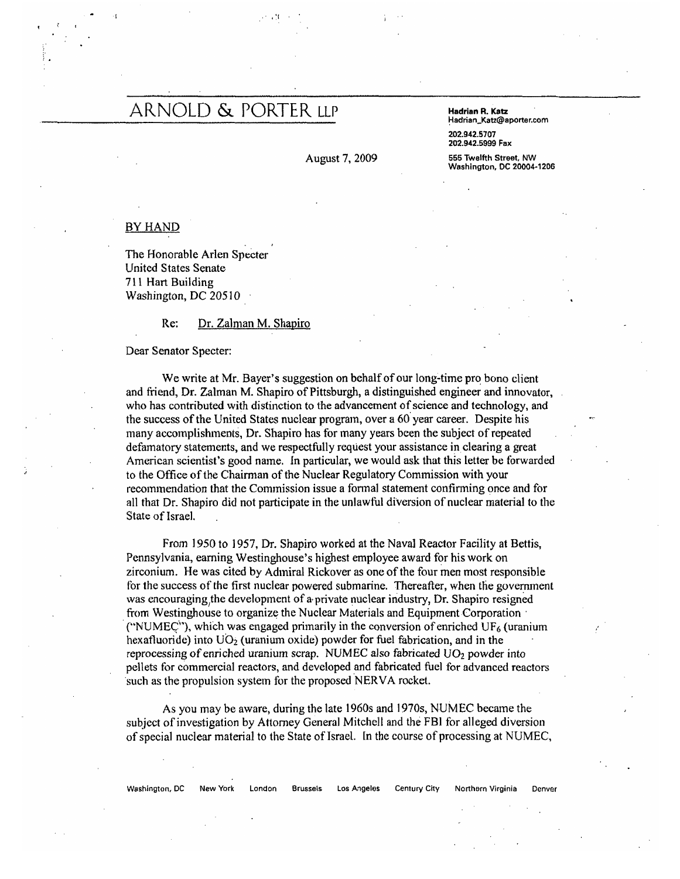## ARNOLD & PORTER LLP Hadrian R. Katz

 $\cdot$  .  $\cdot$  .  $\cdot$  .  $\cdot$  .  $\cdot$  .  $\cdot$  .  $\cdot$  .  $\cdot$  .  $\cdot$  .  $\cdot$  .  $\cdot$  .  $\cdot$  .  $\cdot$  .  $\cdot$  .  $\cdot$  .  $\cdot$  .  $\cdot$  .  $\cdot$  .  $\cdot$  .  $\cdot$  .  $\cdot$  .  $\cdot$  .  $\cdot$  .  $\cdot$  .  $\cdot$  .  $\cdot$  .  $\cdot$  .  $\cdot$  .  $\cdot$  .  $\cdot$  .  $\cdot$  .  $\cdot$ 

August 7, 2009 555 Twelfth Street, NW

### !1adrian\_Katz@aporter.com

202.942.5707 202.942.5999 Fax

Washington, DC 20004·1206

### BY HAND

The Honorable Arlen Specter United States Senate 711 Hart Building Washington, DC 20510

Re: Dr. Zalman M. Shapiro

Dear Senator Specter:

We write at Mr. Bayer's suggestion on behalf of our long-time pro bono client and friend, Dr. Zalman M. Shapiro of Pittsburgh, a distinguished engineer and innovator, who has contributed with distinction to the advancement of science and technology, and the success of the United States nuclear program, over a 60' year career. Despite his many accomplishments, Dr. Shapiro has for many years been the subject of repeated defamatory statements, and we respectfully request your assistance inclearing a great American scientist's good name. In particular, we would ask that this letter be forwarded to the Office of the Chairman of the Nuclear Regulatory Commission with your recommendation that the Commission issue a fonnal statement confirming once and for all that Dr. Shapiro did not participate in the unlawful diversion of nuclear material to the State of Israel.

From 1950 to 1957, Dr. Shapiro worked at the Naval Reactor Facility at Bettis, Pennsylvania, earning Westinghouse's highest employee award for his work on zirconium. He was cited by Adtniral Rickover as one of the four men most responsible for the success of the first nuclear powered submarine. Thereafter, when the government was encouraging the development of a private nuclear industry, Dr. Shapiro resigned from Westinghouse to organize the Nuclear Materials and Equipment Corporation  $\mu$ . C"NUMEC"), which was engaged primarily in the conversion of enriched UF<sub>6</sub> (uranium) hexafluoride) into  $UO<sub>2</sub>$  (uranium oxide) powder for fuel fabrication, and in the reprocessing of enriched uranium scrap. NUMEC also fabricated *VO<sub>2</sub>* powder into pellets for commercial reactors, and developed and fabricated fuel for advanced reactors 'such as the propulsion system for the proposed 'NERVA rocket.

As you may be aware, during the late 1960s and 19705, NUMEC became the subject of investigation by Attorney General Mitchell and the FBI for alleged diversion of special nuclear material to the State of Israel. [n the course of processing at NUMEC,

#### Washington, DC New York London Brussels Los Angeles Century City Northarn Virginia Denver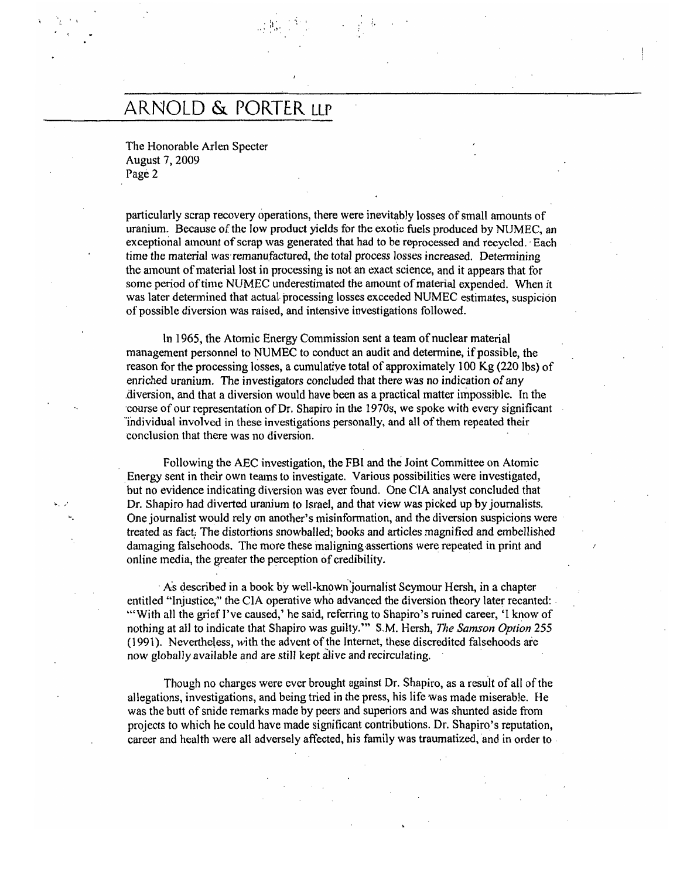## ARNOLD & PORTER LLP

 $\mathbb{R}^n \to \mathbb{R}^n$  .

The Honorable Arlen Specter August 7, 2009 Page 2

, I is a set of the set of the set of the set of the set of the set of the set of the set of the set of the set of the set of the set of the set of the set of the set of the set of the set of the set of the set of the set

particularly scrap recovery operations, there were inevitably losses of small amounts of uranium. Because of the low product yields for the exotic fuels produced by NUMEC, an exceptional amount of scrap was generated that had to be reprocessed and recycled. Each time the material was remanufactured, the total process losses increased. Determining the amount ofmatcrial lost in processing is not an exact science, and it appears that for some period of time NUMEC underestimated the amount of material expended. When it was later determined that actual processing losses exceeded NUMEC estimates, suspicion of possible diversion was raised, and intensive investigations followed.

In 1965, the Atomic Energy Commission sent a team of nuclear material management personnel to NUMEC to conduct an audit and determine, if possible, the reason for the processing losses, a cumulative total of approximately 100 Kg (220 Ibs) of enriched uranium. The investigators concluded that there was no indication of any .diversion, and that a diversion would have been as a practical matter impossible. In the ·course ofour representation ofDr. Shapiro in the 1970s, we spoke with every significant "individual involved in these investigations personally, and all ofthem repeated their 'conclusion that there was no diversion.

Following the AEC investigation, the FBI and the Joint Committee on Atomic Energy sent in their own teams to investigate. Various possibilities were investigated, but no evidence indicating diversion was ever found. One CIA analyst concluded that Dr. Shapiro had diverted uranium to Israel, and that view was picked up by journalists. One journalist would rely on another's misinfonnation, and the diversion suspicions were· treated as fact.. The distortions snowballed; books and at1icles magnified and embellished damaging falsehoods. The more these maligning assertions were repeated in print and online media, the greater the perception of credibility.

. A's described in a book hy well-known'joumalist Seymour Hersh, in a chapter entitled "Injustice," the CIA operative who advanced the diversion theory later recanted: "With all the grief I've caused,' he said, referring to Shapiro's ruined career, 'I know of nothing at all to indicate that Shapiro was guilty.'" S,M. Hersh, *The Samson Option 255*  (1991). Nevertheless, with the advent of the Internet, these discredited falsehoods are now globally available and are still kept alive and recirculating.

Though no charges were ever brought against Dr. Shapiro, as a result of all of the allegations, investigations, and being tried in the press, his life was made miserable. He was the butt of snide remarks made by peers and superiors and was shunted aside from projects to which he could have made significant contributions. Dr. Shapiro's reputation, career and health were all adversely affected, his family was traumatized, and in order to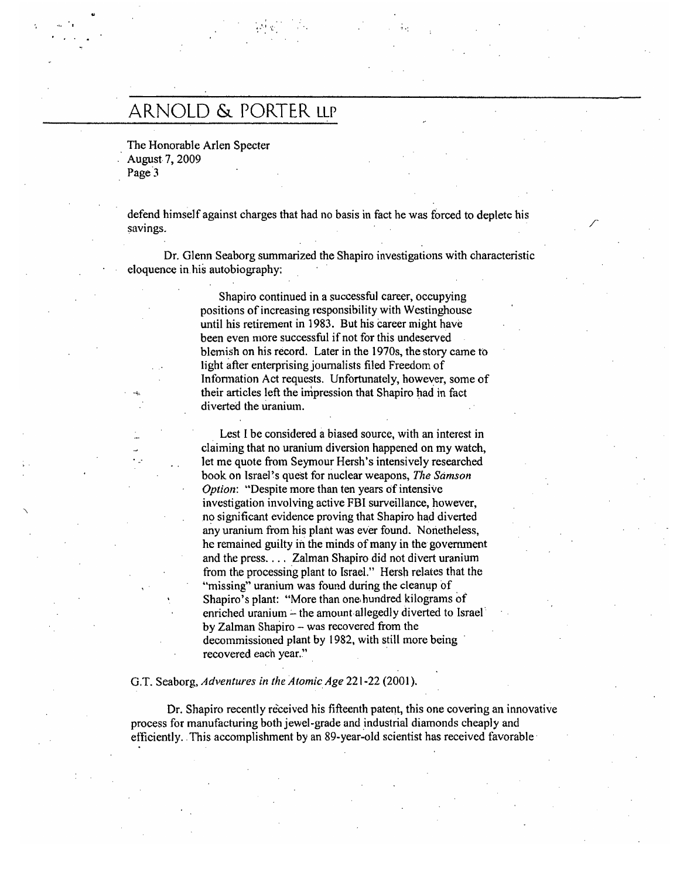## AR.NOLD & PORTER. LLP

The Honorable Arlen Specter . August- 7, 2009 Page<sup>3</sup>

defend himself against charges that had no basis in fact he was forced to deplete his savings.

, -,

Dr. Glenn Seaborg summarized the Shapiro investigations with characteristic eloquence in. his autobiography:

> Shapiro continued in a successful career, occupying positions of increasing responsibility with Westinghouse until his retirement in 1983. But his career might have been even more successful if not for this undeserved blemish on his record. Later in the 1970s, the story came to light after enterprising journalists filed Freedom of Information Act requests. Unfortunately, however, some of their articles left the impression that Shapiro had in fact diverted the uranium.

> Lest I be considered a biased source, with an interest in claiming that no uranium diversion happened on my watch, let me quote from Seymour Hersh's intensively researched book on lsrae]~s quest for nuclear weapons, *The Samson Option:* "Despite more than ten years of intensive investigation involving active FBI surveillance, however, no significant evidence proving that Shapiro had diverted any uranium from his plant was ever found. Nonetheless, he remained guilty in the minds of many in the government and the press. . .. Zalman Shapiro did not divert uranium from the processing plant to Israel." Hersh relates that the "missing" uranium was found during the cleanup of  $\overline{a}$ Shapiro's plant: "More than one hundred kilograms of enriched uranium - the amount allegedly diverted to Israel by Zalman Shapiro - was recovered from the decommissioned plant by 1982, with still more being recovered each year."

#### G.T. Seaborg, *Adventures in the Atomic. Age* 221-22 (2001).

Dr. Shapiro recently received his fifteenth patent, this one covering an innovative process for manufacturing both jewel-grade and \_industrial diamonds cheaply and efficiently. This accomplishment by an 89-year-old scientist has received favorable